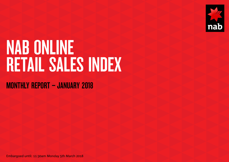

# NAB ONLINE RETAIL SALES INDEX

### MONTHLY REPORT – JANUARY 2018

Embargoed until: 11:30am Monday 5th March 2018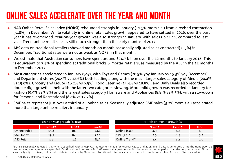## ONLINE SALES ACCELERATE OVER THE YEAR AND MONTH

- NAB Online Retail Sales Index (NORSI) rebounded strongly in January (+1.5% mom s.a.) from a revised contraction (-1.8%) in December. While volatility in online retail sales growth appeared to have settled in 2016, over the past year it has re-emerged. Year-on-year growth was also stronger in January, with sales up 14.1% compared to last year. Trend online retail sales is still much stronger than the early months of 2017.
- ABS data on traditional retailers showed month on month seasonally adjusted sales contracted(-0.5%) in December. Traditional sales were not as weak as NORSI in that month.
- We estimate that Australian consumers have spent around \$24.7 billion over the 12 months to January 2018. This is equivalent to 7.9% of spending at traditional bricks & mortar retailers, as measured by the ABS in the 12 months to December 2017.
- Most categories accelerated in January (yoy), with Toys and Games (20.9% yoy January vs 15.3% yoy December), and Department stores (20.9% vs 12.6%) both leading along with the much larger sales category of Media (20.4% vs 19.0%). Grocery and Liquor (16.2% vs 6.5%), Food Catering (14.4% vs 18.8%), and Daily Deals also recorded double digit growth, albeit with the latter two categories slowing. More mild growth was recorded in January for Fashion (9.9% vs 7.8%) and the largest sales category Homeware and Appliances (8.8 % vs 5.5%), with a slowdown for Personal and Recreational (8.4% vs 12.2%).
- SME sales represent just over a third of all online sales. Seasonally adjusted SME sales (3.2%,mom s.a.) accelerated more than large online retailers in January.

| Year-on-year growth (% nsa) |        |        |          | Month-on-month growth (%) |               |               |  |
|-----------------------------|--------|--------|----------|---------------------------|---------------|---------------|--|
|                             | Nov-17 | Dec-17 | $Jan-18$ |                           | <b>Nov-17</b> | <b>Dec-17</b> |  |
| Online index                | 15.8   | 10.9   | 14.1     | Online (s.a.)             | 4.9           | $-1.8$        |  |
| SME Index                   | 19.5   | 16.8   | 22.1     | SME $(s.a)*$              | 2.5           | $-1.3$        |  |
| <b>ABS Retail</b>           | 3.5    | 1.6    | N/A      | Online Trend*             | 1.4           | 1.2           |  |

\*Data is seasonally adjusted (s.a.) where specified, with a leap year adjustment made for February 2012 and 2016. Trend data is generated using the Henderson 13 term moving averages where specified. Caution should be used with SME seasonal adjustment as it is based on a shorter period than the corporate index. Nonseasonally adjusted (nsa) online sales data is produced by Quantium. Traditional retail sales data is sourced from the Australian Bureau of Statistics (ABS).

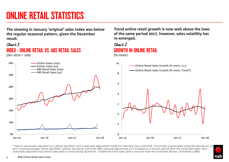## ONLINE RETAIL STATISTICS

**The slowing in January 'original' sales index was below the regular seasonal pattern, given the December result.** 

### INDEX - ONLINE RETAIL VS. ABS RETAIL SALES  $($ Jan 2010 = 100 $)$ Chart 1 Chart 2

80 180 280 380 480 580 680 Jan-15 Jan-16 Jan-17 Jan-18 Online Index (nsa) Online Index (sa) ABS Retail Sales (nsa) ABS Retail Sales (sa) -4 -2  $\Omega$ 2 4 6 8 10

**Trend online retail growth is now well above the lows of the same period 2017, however, sales volatility has re-emerged.**

### GROWTH IN ONLINE RETAIL (% mom)

Jan-15 Jan-16 Jan-17 Jan-18 Online Retail Sales Growth (% mom, s.a.) Online Retail Sales Growth (% mom, Trend\*)

\* Data is seasonally adjusted (s.a.) where specified, with a leap year adjustment made for February 2012 and 2016. Trend data is generated using the Henderson 13 term moving averages where specified. Caution should be used with SME seasonal adjustment as it is based on a shorter period than the corporate index. Nonseasonally adjusted (nsa) online sales data is produced by Quantium. Traditional retail sales data is sourced from the Australian Bureau of Statistics (ABS).

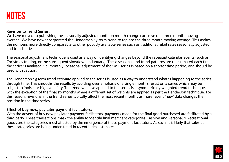#### Revision to Trend Series:

We have moved to publishing the seasonally adjusted month on month change exclusive of a three month moving average. We have now incorporated the Henderson 13 term trend to replace the three month moving average. This makes the numbers more directly comparable to other publicly available series such as traditional retail sales seasonally adjusted and trend series.

The seasonal adjustment technique is used as a way of identifying changes beyond the repeated calendar events (such as Christmas trading, or the subsequent slowdown in January). These seasonal and trend patterns are re-estimated each time the series is analysed, i.e. monthly. Seasonal adjustment of the SME series is based on a shorter time period, and should be used with caution.

The Henderson 13 term trend estimate applied to the series is used as a way to understand what is happening to the series through time. This smooths the results by avoiding over emphasis of a single month's result on a series which may be subject to 'noise' or high volatility. The trend we have applied to the series is a symmetrically weighted trend technique, with the exception of the final six months where a different set of weights are applied as per the Henderson technique. For this reason, revisions in the trend series typically affect the most recent months as more recent 'new' data changes their position in the time series.

#### Effect of buy now, pay later payment facilitators:

With the advent of buy now pay later payment facilitators, payments made for the final good purchased are facilitated by a third party. These transactions mask the ability to identify final merchant categories. Fashion and Personal & Recreational goods are the categories most affected by the emergence of these payment facilitators. As such, it is likely that sales at these categories are being understated in recent index estimates.